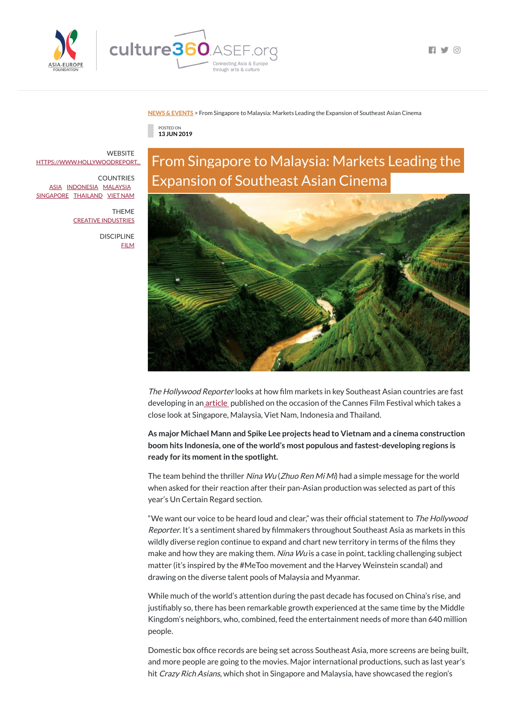

 $\blacksquare$   $\blacksquare$   $\blacksquare$ 

## **NEWS & [EVENTS](https://culture360.asef.org/news-events/)** > From Singapore to Malaysia: Markets Leading the Expansion of Southeast Asian Cinema

POSTED ON **13 JUN 2019**

## From Singapore to Malaysia: Markets Leading the Expansion of Southeast Asian Cinema



The Hollywood Reporter looks at how film markets in key Southeast Asian countries are fast developing in an [article](https://www.hollywoodreporter.com/lists/markets-leading-expansion-southeast-asian-cinema-1211133) published on the occasion of the Cannes Film Festival which takes a close look at Singapore, Malaysia, Viet Nam, Indonesia and Thailand.

The team behind the thriller Nina Wu (Zhuo Ren Mi Mi) had a simple message for the world when asked for their reaction after their pan-Asian production was selected as part of this year's Un Certain Regard section.

**As major Michael Mann and Spike Lee projects head to Vietnam and a cinema construction boom hits Indonesia, one ofthe world's most populous and fastest-developing regions is ready for its momentin the spotlight.**

"We want our voice to be heard loud and clear," was their official statement to The Hollywood Reporter. It's a sentiment shared by filmmakers throughout Southeast Asia as markets in this wildly diverse region continue to expand and chart new territory in terms of the films they make and how they are making them. Nina Wu is a case in point, tackling challenging subject matter (it's inspired by the #MeToo movement and the Harvey Weinstein scandal) and drawing on the diverse talent pools of Malaysia and Myanmar.

**WEBSITE** [HTTPS://WWW.HOLLYWOODREPORT...](https://www.hollywoodreporter.com/lists/markets-leading-expansion-southeast-asian-cinema-1211133)

> DISCIPLINE **[FILM](https://culture360.asef.org/disciplines/film/)**

> > While much of the world's attention during the past decade has focused on China's rise, and justifiably so, there has been remarkable growth experienced at the same time by the Middle Kingdom's neighbors, who, combined, feed the entertainment needs of more than 640 million people.

> > Domestic box office records are being set across Southeast Asia, more screens are being built, and more people are going to the movies. Major international productions, such as last year's hit *Crazy Rich Asians*, which shot in Singapore and Malaysia, have showcased the region's

COUNTRIES [ASIA](https://culture360.asef.org/countries/asia/) [INDONESIA](https://culture360.asef.org/countries/indonesia/) [MALAYSIA](https://culture360.asef.org/countries/malaysia/) [SINGAPORE](https://culture360.asef.org/countries/singapore/) [THAILAND](https://culture360.asef.org/countries/thailand/) VIET [NAM](https://culture360.asef.org/countries/viet-nam/)

> THEME CREATIVE [INDUSTRIES](https://culture360.asef.org/themes/creative-industries/)